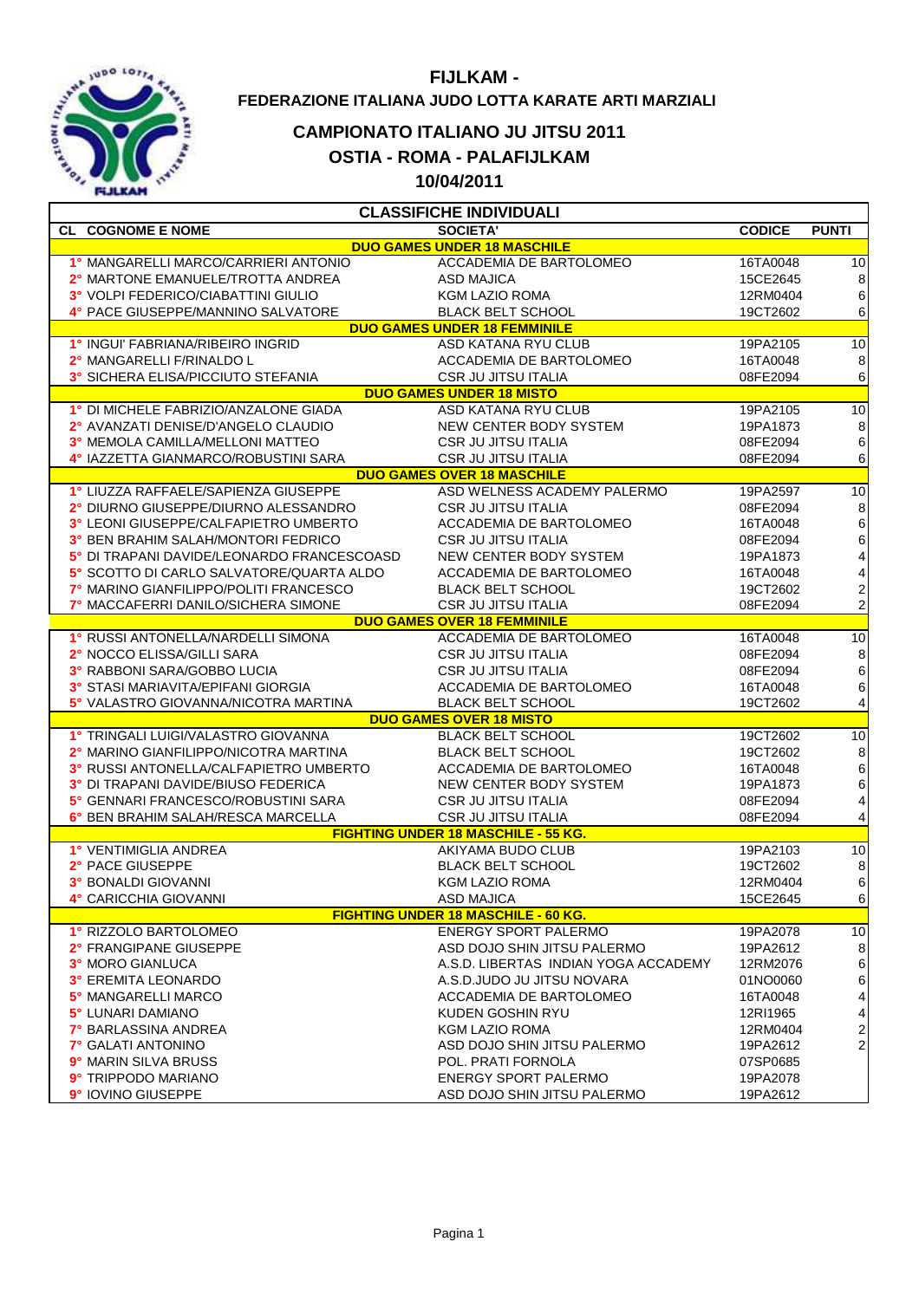

## **FIJLKAM - FEDERAZIONE ITALIANA JUDO LOTTA KARATE ARTI MARZIALI**

## **CAMPIONATO ITALIANO JU JITSU 2011**

**OSTIA - ROMA - PALAFIJLKAM**

**10/04/2011**

| <b>CL COGNOME E NOME</b><br><b>SOCIETA'</b><br><b>CODICE</b>                     | <b>PUNTI</b>             |
|----------------------------------------------------------------------------------|--------------------------|
|                                                                                  |                          |
| <b>DUO GAMES UNDER 18 MASCHILE</b>                                               |                          |
| 1° MANGARELLI MARCO/CARRIERI ANTONIO<br>ACCADEMIA DE BARTOLOMEO<br>16TA0048      | 10                       |
| 2° MARTONE EMANUELE/TROTTA ANDREA<br><b>ASD MAJICA</b><br>15CE2645               | $\bf 8$                  |
| 3° VOLPI FEDERICO/CIABATTINI GIULIO<br><b>KGM LAZIO ROMA</b><br>12RM0404         | $\,6\,$                  |
| 4° PACE GIUSEPPE/MANNINO SALVATORE<br><b>BLACK BELT SCHOOL</b><br>19CT2602       | $\,6$                    |
| <b>DUO GAMES UNDER 18 FEMMINILE</b>                                              |                          |
| 1° INGUI' FABRIANA/RIBEIRO INGRID<br>ASD KATANA RYU CLUB<br>19PA2105             | $\overline{10}$          |
| 2° MANGARELLI F/RINALDO L<br>ACCADEMIA DE BARTOLOMEO<br>16TA0048                 | $\,8\,$                  |
| 3° SICHERA ELISA/PICCIUTO STEFANIA<br><b>CSR JU JITSU ITALIA</b><br>08FE2094     | $\,$ 6 $\,$              |
| <b>DUO GAMES UNDER 18 MISTO</b>                                                  |                          |
| 1° DI MICHELE FABRIZIO/ANZALONE GIADA<br>ASD KATANA RYU CLUB<br>19PA2105         | 10                       |
| 2° AVANZATI DENISE/D'ANGELO CLAUDIO<br>NEW CENTER BODY SYSTEM<br>19PA1873        | $\boldsymbol{8}$         |
| 3° MEMOLA CAMILLA/MELLONI MATTEO<br><b>CSR JU JITSU ITALIA</b><br>08FE2094       | $\,$ 6 $\,$              |
| 4° IAZZETTA GIANMARCO/ROBUSTINI SARA<br>CSR JU JITSU ITALIA<br>08FE2094          | $\,6$                    |
| <b>DUO GAMES OVER 18 MASCHILE</b>                                                |                          |
| 1° LIUZZA RAFFAELE/SAPIENZA GIUSEPPE<br>ASD WELNESS ACADEMY PALERMO<br>19PA2597  | 10                       |
| 2° DIURNO GIUSEPPE/DIURNO ALESSANDRO<br><b>CSR JU JITSU ITALIA</b><br>08FE2094   | $\boldsymbol{8}$         |
| 3° LEONI GIUSEPPE/CALFAPIETRO UMBERTO<br>ACCADEMIA DE BARTOLOMEO<br>16TA0048     | $\,$ 6 $\,$              |
| 3° BEN BRAHIM SALAH/MONTORI FEDRICO<br><b>CSR JU JITSU ITALIA</b><br>08FE2094    | 6                        |
| NEW CENTER BODY SYSTEM<br>5° DI TRAPANI DAVIDE/LEONARDO FRANCESCOASD<br>19PA1873 | $\overline{\mathbf{4}}$  |
| 5° SCOTTO DI CARLO SALVATORE/QUARTA ALDO<br>ACCADEMIA DE BARTOLOMEO<br>16TA0048  | $\overline{\mathcal{L}}$ |
| 7° MARINO GIANFILIPPO/POLITI FRANCESCO<br><b>BLACK BELT SCHOOL</b><br>19CT2602   | $\frac{2}{2}$            |
| 7° MACCAFERRI DANILO/SICHERA SIMONE<br><b>CSR JU JITSU ITALIA</b><br>08FE2094    |                          |
| <b>DUO GAMES OVER 18 FEMMINILE</b>                                               |                          |
| 1° RUSSI ANTONELLA/NARDELLI SIMONA<br>ACCADEMIA DE BARTOLOMEO<br>16TA0048        | $\overline{10}$          |
| 2° NOCCO ELISSA/GILLI SARA<br>CSR JU JITSU ITALIA<br>08FE2094                    | $\bf8$                   |
| 3° RABBONI SARA/GOBBO LUCIA<br>CSR JU JITSU ITALIA<br>08FE2094                   | $\,$ 6 $\,$              |
| 3° STASI MARIAVITA/EPIFANI GIORGIA<br>ACCADEMIA DE BARTOLOMEO<br>16TA0048        | $\,$ 6 $\,$              |
| 5° VALASTRO GIOVANNA/NICOTRA MARTINA<br><b>BLACK BELT SCHOOL</b><br>19CT2602     | $\overline{\mathbf{4}}$  |
| <b>DUO GAMES OVER 18 MISTO</b>                                                   |                          |
| 1° TRINGALI LUIGI/VALASTRO GIOVANNA<br>19CT2602<br><b>BLACK BELT SCHOOL</b>      | 10                       |
| 2° MARINO GIANFILIPPO/NICOTRA MARTINA<br><b>BLACK BELT SCHOOL</b><br>19CT2602    | 8                        |
| 3° RUSSI ANTONELLA/CALFAPIETRO UMBERTO<br>ACCADEMIA DE BARTOLOMEO<br>16TA0048    | $\,$ 6 $\,$              |
| 3° DI TRAPANI DAVIDE/BIUSO FEDERICA<br>NEW CENTER BODY SYSTEM<br>19PA1873        | $6 \overline{6}$         |
| 5° GENNARI FRANCESCO/ROBUSTINI SARA<br><b>CSR JU JITSU ITALIA</b><br>08FE2094    | $\overline{\mathbf{r}}$  |
| 6° BEN BRAHIM SALAH/RESCA MARCELLA<br>CSR JU JITSU ITALIA<br>08FE2094            | 4                        |
| <b>FIGHTING UNDER 18 MASCHILE - 55 KG.</b>                                       |                          |
| 1° VENTIMIGLIA ANDREA<br>AKIYAMA BUDO CLUB<br>19PA2103                           | $\overline{10}$          |
| 2° PACE GIUSEPPE<br><b>BLACK BELT SCHOOL</b><br>19CT2602                         | $\boldsymbol{8}$         |
| 3° BONALDI GIOVANNI<br><b>KGM LAZIO ROMA</b><br>12RM0404                         | 6                        |
| <b>ASD MAJICA</b><br>4° CARICCHIA GIOVANNI<br>15CE2645                           | $\,$ 6 $\,$              |
| <b>FIGHTING UNDER 18 MASCHILE - 60 KG.</b>                                       |                          |
| 1° RIZZOLO BARTOLOMEO<br><b>ENERGY SPORT PALERMO</b><br>19PA2078                 | $\overline{10}$          |
| 2° FRANGIPANE GIUSEPPE<br>ASD DOJO SHIN JITSU PALERMO<br>19PA2612                | 8                        |
| 3° MORO GIANLUCA<br>A.S.D. LIBERTAS INDIAN YOGA ACCADEMY<br>12RM2076             | $\,6$                    |
| 3° EREMITA LEONARDO<br>A.S.D.JUDO JU JITSU NOVARA<br>01NO0060                    | $\,6$                    |
| ACCADEMIA DE BARTOLOMEO<br>5° MANGARELLI MARCO<br>16TA0048                       | $\overline{\mathbf{4}}$  |
| 5° LUNARI DAMIANO<br>KUDEN GOSHIN RYU<br>12RI1965                                | 4                        |
| <b>7° BARLASSINA ANDREA</b><br><b>KGM LAZIO ROMA</b><br>12RM0404                 | $\overline{\mathbf{c}}$  |
| 7° GALATI ANTONINO<br>ASD DOJO SHIN JITSU PALERMO<br>19PA2612                    | $\overline{\mathbf{c}}$  |
| 9° MARIN SILVA BRUSS<br>POL. PRATI FORNOLA<br>07SP0685                           |                          |
| 9° TRIPPODO MARIANO<br><b>ENERGY SPORT PALERMO</b><br>19PA2078                   |                          |
| 9° IOVINO GIUSEPPE<br>ASD DOJO SHIN JITSU PALERMO<br>19PA2612                    |                          |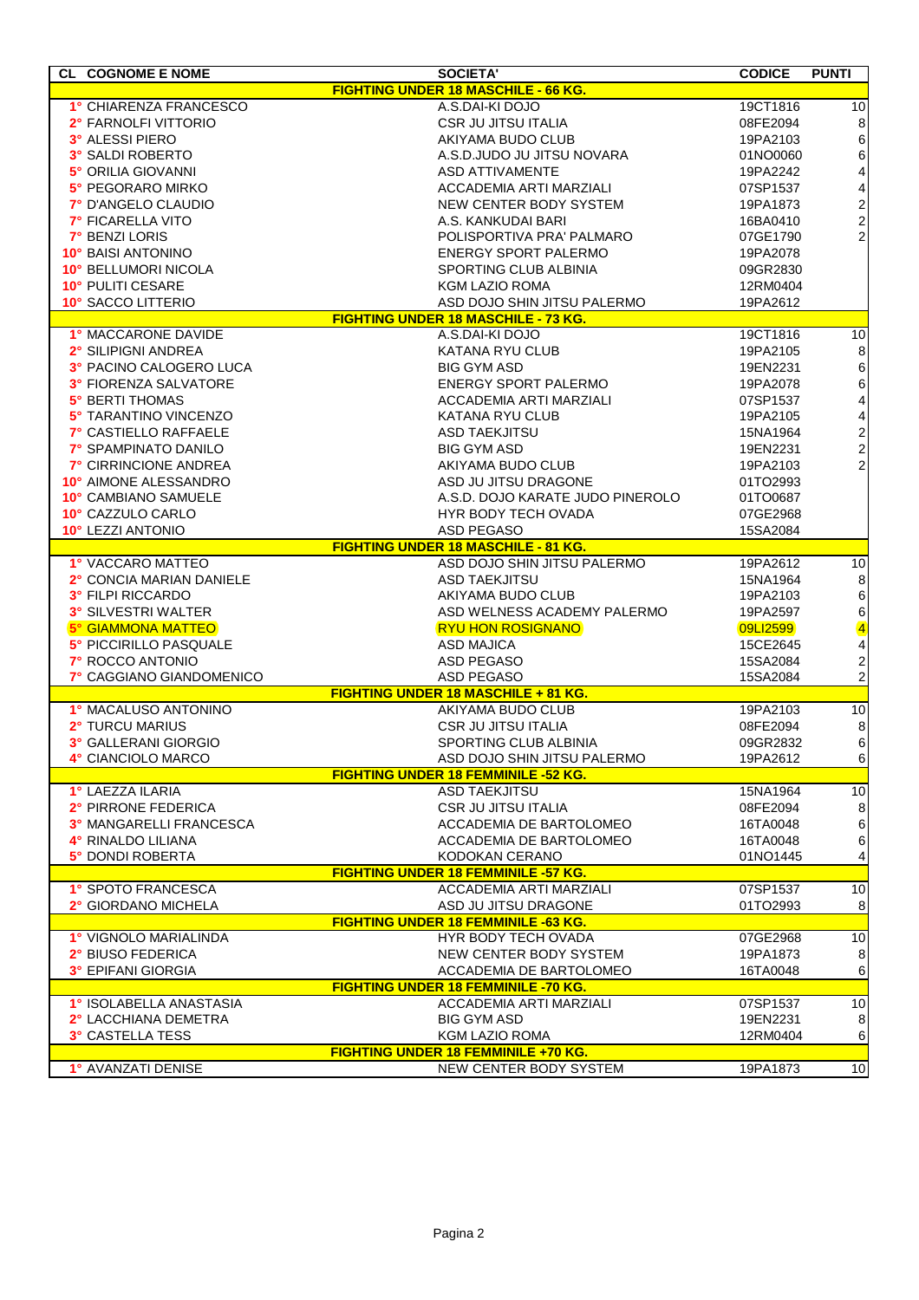| <b>CL COGNOME E NOME</b>            | <b>SOCIETA'</b>                                          | <b>CODICE</b> | <b>PUNTI</b>                                    |  |  |  |
|-------------------------------------|----------------------------------------------------------|---------------|-------------------------------------------------|--|--|--|
|                                     | <b>FIGHTING UNDER 18 MASCHILE - 66 KG.</b>               |               |                                                 |  |  |  |
| 1° CHIARENZA FRANCESCO              | A.S.DAI-KI DOJO                                          | 19CT1816      | 10                                              |  |  |  |
| 2° FARNOLFI VITTORIO                | CSR JU JITSU ITALIA                                      | 08FE2094      | $\bf 8$                                         |  |  |  |
| 3° ALESSI PIERO                     | AKIYAMA BUDO CLUB                                        | 19PA2103      | $\boldsymbol{6}$                                |  |  |  |
| 3° SALDI ROBERTO                    | A.S.D.JUDO JU JITSU NOVARA                               | 01NO0060      | $\,6$                                           |  |  |  |
| 5° ORILIA GIOVANNI                  | ASD ATTIVAMENTE                                          | 19PA2242      | $\overline{\mathcal{L}}$                        |  |  |  |
| 5° PEGORARO MIRKO                   | ACCADEMIA ARTI MARZIALI                                  | 07SP1537      | $\begin{array}{c} 4 \\ 2 \\ 2 \\ 2 \end{array}$ |  |  |  |
| 7° D'ANGELO CLAUDIO                 | NEW CENTER BODY SYSTEM                                   | 19PA1873      |                                                 |  |  |  |
| <b>7° FICARELLA VITO</b>            | A.S. KANKUDAI BARI                                       | 16BA0410      |                                                 |  |  |  |
| 7° BENZI LORIS                      | POLISPORTIVA PRA' PALMARO                                | 07GE1790      |                                                 |  |  |  |
| 10° BAISI ANTONINO                  | ENERGY SPORT PALERMO                                     | 19PA2078      |                                                 |  |  |  |
| 10° BELLUMORI NICOLA                | SPORTING CLUB ALBINIA                                    | 09GR2830      |                                                 |  |  |  |
| 10° PULITI CESARE                   | <b>KGM LAZIO ROMA</b>                                    | 12RM0404      |                                                 |  |  |  |
| 10° SACCO LITTERIO                  | ASD DOJO SHIN JITSU PALERMO                              | 19PA2612      |                                                 |  |  |  |
|                                     | <b>FIGHTING UNDER 18 MASCHILE - 73 KG.</b>               |               |                                                 |  |  |  |
| 1° MACCARONE DAVIDE                 | A.S.DAI-KI DOJO                                          | 19CT1816      | 10                                              |  |  |  |
| 2° SILIPIGNI ANDREA                 | KATANA RYU CLUB                                          | 19PA2105      | 8                                               |  |  |  |
| 3° PACINO CALOGERO LUCA             | <b>BIG GYM ASD</b>                                       | 19EN2231      | $\boldsymbol{6}$                                |  |  |  |
| 3° FIORENZA SALVATORE               | ENERGY SPORT PALERMO                                     | 19PA2078      | $\boldsymbol{6}$                                |  |  |  |
| 5° BERTI THOMAS                     | ACCADEMIA ARTI MARZIALI                                  | 07SP1537      | $\overline{\mathbf{r}}$                         |  |  |  |
| 5° TARANTINO VINCENZO               | <b>KATANA RYU CLUB</b>                                   | 19PA2105      | $\overline{\mathbf{r}}$                         |  |  |  |
| 7° CASTIELLO RAFFAELE               | <b>ASD TAEKJITSU</b>                                     | 15NA1964      |                                                 |  |  |  |
| 7° SPAMPINATO DANILO                | <b>BIG GYM ASD</b>                                       | 19EN2231      | $\begin{array}{c} 2 \\ 2 \\ 2 \end{array}$      |  |  |  |
| 7° CIRRINCIONE ANDREA               | AKIYAMA BUDO CLUB                                        | 19PA2103      |                                                 |  |  |  |
| 10° AIMONE ALESSANDRO               | ASD JU JITSU DRAGONE                                     | 01TO2993      |                                                 |  |  |  |
| 10° CAMBIANO SAMUELE                | A.S.D. DOJO KARATE JUDO PINEROLO                         | 01TO0687      |                                                 |  |  |  |
| 10° CAZZULO CARLO                   | HYR BODY TECH OVADA                                      | 07GE2968      |                                                 |  |  |  |
| 10° LEZZI ANTONIO                   | <b>ASD PEGASO</b>                                        | 15SA2084      |                                                 |  |  |  |
|                                     | <b>FIGHTING UNDER 18 MASCHILE - 81 KG.</b>               |               |                                                 |  |  |  |
| 1° VACCARO MATTEO                   | ASD DOJO SHIN JITSU PALERMO                              | 19PA2612      | 10                                              |  |  |  |
| 2° CONCIA MARIAN DANIELE            | <b>ASD TAEKJITSU</b>                                     | 15NA1964      | $\boldsymbol{8}$                                |  |  |  |
| 3° FILPI RICCARDO                   | AKIYAMA BUDO CLUB                                        | 19PA2103      | $\boldsymbol{6}$                                |  |  |  |
| 3° SILVESTRI WALTER                 | ASD WELNESS ACADEMY PALERMO                              | 19PA2597      | $\begin{array}{c} 6 \\ 4 \\ 4 \end{array}$      |  |  |  |
| <b>5° GIAMMONA MATTEO</b>           | <b>RYU HON ROSIGNANO</b>                                 | 09LI2599      |                                                 |  |  |  |
| 5° PICCIRILLO PASQUALE              | <b>ASD MAJICA</b>                                        | 15CE2645      |                                                 |  |  |  |
| <b>7° ROCCO ANTONIO</b>             | ASD PEGASO                                               | 15SA2084      | $\frac{2}{2}$                                   |  |  |  |
| 7° CAGGIANO GIANDOMENICO            | <b>ASD PEGASO</b><br>FIGHTING UNDER 18 MASCHILE + 81 KG. | 15SA2084      |                                                 |  |  |  |
| 1° MACALUSO ANTONINO                | AKIYAMA BUDO CLUB                                        | 19PA2103      | 10                                              |  |  |  |
| 2° TURCU MARIUS                     | <b>CSR JU JITSU ITALIA</b>                               | 08FE2094      | $\bf 8$                                         |  |  |  |
| 3° GALLERANI GIORGIO                | <b>SPORTING CLUB ALBINIA</b>                             | 09GR2832      | 6                                               |  |  |  |
| 4° CIANCIOLO MARCO                  | ASD DOJO SHIN JITSU PALERMO                              | 19PA2612      | $\,$ 6 $\,$                                     |  |  |  |
|                                     | <b>FIGHTING UNDER 18 FEMMINILE -52 KG.</b>               |               |                                                 |  |  |  |
| 1° LAEZZA ILARIA                    | <b>ASD TAEKJITSU</b>                                     | 15NA1964      | 10                                              |  |  |  |
| 2° PIRRONE FEDERICA                 | <b>CSR JU JITSU ITALIA</b>                               | 08FE2094      | $\bf 8$                                         |  |  |  |
| 3° MANGARELLI FRANCESCA             | ACCADEMIA DE BARTOLOMEO                                  | 16TA0048      | $\,6$                                           |  |  |  |
| 4° RINALDO LILIANA                  | ACCADEMIA DE BARTOLOMEO                                  | 16TA0048      | $\,6$                                           |  |  |  |
| 5° DONDI ROBERTA                    | KODOKAN CERANO                                           | 01NO1445      | 4                                               |  |  |  |
|                                     | <b>FIGHTING UNDER 18 FEMMINILE -57 KG.</b>               |               |                                                 |  |  |  |
| 1° SPOTO FRANCESCA                  | ACCADEMIA ARTI MARZIALI                                  | 07SP1537      | 10                                              |  |  |  |
| 2° GIORDANO MICHELA                 | ASD JU JITSU DRAGONE                                     | 01TO2993      | 8                                               |  |  |  |
|                                     | <b>FIGHTING UNDER 18 FEMMINILE -63 KG.</b>               |               |                                                 |  |  |  |
| 1° VIGNOLO MARIALINDA               | HYR BODY TECH OVADA                                      | 07GE2968      | 10                                              |  |  |  |
| 2° BIUSO FEDERICA                   | NEW CENTER BODY SYSTEM                                   | 19PA1873      | 8                                               |  |  |  |
| 3° EPIFANI GIORGIA                  | ACCADEMIA DE BARTOLOMEO                                  | 16TA0048      | 6                                               |  |  |  |
|                                     | <b>FIGHTING UNDER 18 FEMMINILE -70 KG.</b>               |               |                                                 |  |  |  |
| 1° ISOLABELLA ANASTASIA             | ACCADEMIA ARTI MARZIALI                                  | 07SP1537      | 10                                              |  |  |  |
| 2° LACCHIANA DEMETRA                | <b>BIG GYM ASD</b>                                       | 19EN2231      | 8                                               |  |  |  |
| 3° CASTELLA TESS                    | KGM LAZIO ROMA                                           | 12RM0404      | 6                                               |  |  |  |
| FIGHTING UNDER 18 FEMMINILE +70 KG. |                                                          |               |                                                 |  |  |  |
| 1° AVANZATI DENISE                  | NEW CENTER BODY SYSTEM                                   | 19PA1873      | 10                                              |  |  |  |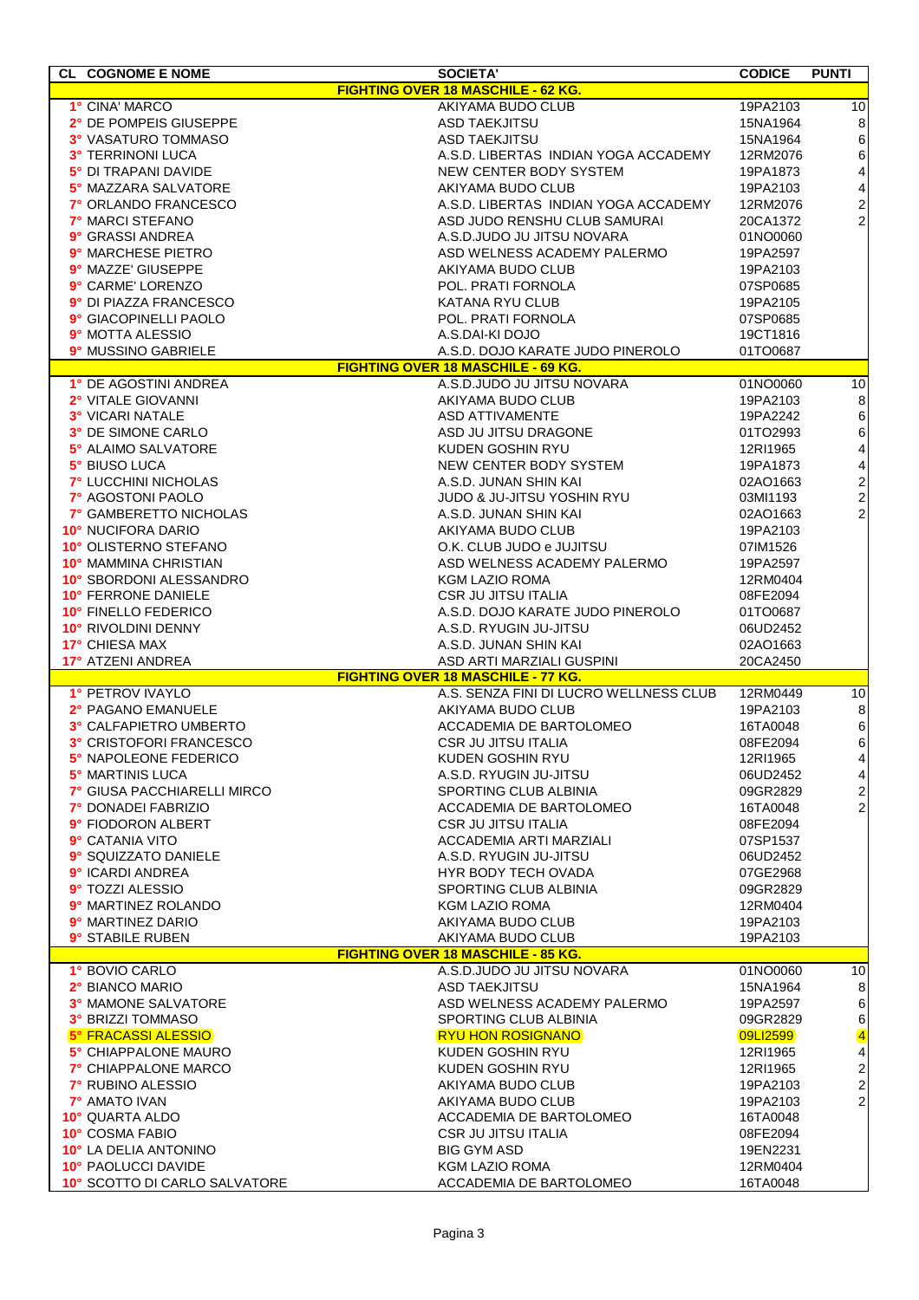| <b>CL COGNOME E NOME</b>      | <b>SOCIETA'</b>                           | <b>CODICE</b> | <b>PUNTI</b>            |
|-------------------------------|-------------------------------------------|---------------|-------------------------|
|                               | FIGHTING OVER 18 MASCHILE - 62 KG.        |               |                         |
| 1° CINA' MARCO                | AKIYAMA BUDO CLUB                         | 19PA2103      | 10                      |
|                               |                                           |               |                         |
| 2° DE POMPEIS GIUSEPPE        | <b>ASD TAEKJITSU</b>                      | 15NA1964      | $\,8\,$                 |
| 3° VASATURO TOMMASO           | <b>ASD TAEKJITSU</b>                      | 15NA1964      | $\,6\,$                 |
| <b>3° TERRINONI LUCA</b>      | A.S.D. LIBERTAS INDIAN YOGA ACCADEMY      | 12RM2076      | $\,6\,$                 |
| 5° DI TRAPANI DAVIDE          | NEW CENTER BODY SYSTEM                    | 19PA1873      | $\overline{\mathbf{4}}$ |
| 5° MAZZARA SALVATORE          | AKIYAMA BUDO CLUB                         | 19PA2103      | $\overline{\mathbf{4}}$ |
| 7° ORLANDO FRANCESCO          | A.S.D. LIBERTAS INDIAN YOGA ACCADEMY      | 12RM2076      | $\boldsymbol{2}$        |
| 7° MARCI STEFANO              | ASD JUDO RENSHU CLUB SAMURAI              | 20CA1372      | $\overline{2}$          |
| 9° GRASSI ANDREA              | A.S.D.JUDO JU JITSU NOVARA                | 01NO0060      |                         |
| 9° MARCHESE PIETRO            | ASD WELNESS ACADEMY PALERMO               | 19PA2597      |                         |
| 9° MAZZE' GIUSEPPE            | AKIYAMA BUDO CLUB                         | 19PA2103      |                         |
| 9° CARME' LORENZO             | POL. PRATI FORNOLA                        | 07SP0685      |                         |
| 9° DI PIAZZA FRANCESCO        | KATANA RYU CLUB                           | 19PA2105      |                         |
|                               |                                           |               |                         |
| 9° GIACOPINELLI PAOLO         | POL. PRATI FORNOLA                        | 07SP0685      |                         |
| 9° MOTTA ALESSIO              | A.S.DAI-KI DOJO                           | 19CT1816      |                         |
| 9° MUSSINO GABRIELE           | A.S.D. DOJO KARATE JUDO PINEROLO          | 01TO0687      |                         |
|                               | <b>FIGHTING OVER 18 MASCHILE - 69 KG.</b> |               |                         |
| 1° DE AGOSTINI ANDREA         | A.S.D.JUDO JU JITSU NOVARA                | 01NO0060      | 10                      |
| 2° VITALE GIOVANNI            | AKIYAMA BUDO CLUB                         | 19PA2103      | $\,8\,$                 |
| 3° VICARI NATALE              | <b>ASD ATTIVAMENTE</b>                    | 19PA2242      | $\,6\,$                 |
| 3° DE SIMONE CARLO            | ASD JU JITSU DRAGONE                      | 01TO2993      | $\,6\,$                 |
| 5° ALAIMO SALVATORE           | KUDEN GOSHIN RYU                          | 12RI1965      | $\overline{\mathbf{4}}$ |
| 5° BIUSO LUCA                 | NEW CENTER BODY SYSTEM                    | 19PA1873      | $\overline{\mathbf{4}}$ |
| <b>7° LUCCHINI NICHOLAS</b>   | A.S.D. JUNAN SHIN KAI                     | 02AO1663      | $\overline{\mathbf{c}}$ |
| 7° AGOSTONI PAOLO             | <b>JUDO &amp; JU-JITSU YOSHIN RYU</b>     | 03MI1193      | $\overline{2}$          |
| 7° GAMBERETTO NICHOLAS        | A.S.D. JUNAN SHIN KAI                     | 02AO1663      | $\overline{c}$          |
|                               |                                           |               |                         |
| 10° NUCIFORA DARIO            | AKIYAMA BUDO CLUB                         | 19PA2103      |                         |
| 10° OLISTERNO STEFANO         | O.K. CLUB JUDO e JUJITSU                  | 07IM1526      |                         |
| 10° MAMMINA CHRISTIAN         | ASD WELNESS ACADEMY PALERMO               | 19PA2597      |                         |
| 10° SBORDONI ALESSANDRO       | <b>KGM LAZIO ROMA</b>                     | 12RM0404      |                         |
| 10° FERRONE DANIELE           | <b>CSR JU JITSU ITALIA</b>                | 08FE2094      |                         |
| <b>10° FINELLO FEDERICO</b>   | A.S.D. DOJO KARATE JUDO PINEROLO          | 01TO0687      |                         |
| 10° RIVOLDINI DENNY           | A.S.D. RYUGIN JU-JITSU                    | 06UD2452      |                         |
| 17° CHIESA MAX                | A.S.D. JUNAN SHIN KAI                     | 02AO1663      |                         |
| 17° ATZENI ANDREA             | ASD ARTI MARZIALI GUSPINI                 | 20CA2450      |                         |
|                               | <b>FIGHTING OVER 18 MASCHILE - 77 KG.</b> |               |                         |
| 1° PETROV IVAYLO              | A.S. SENZA FINI DI LUCRO WELLNESS CLUB    | 12RM0449      | 10                      |
| 2° PAGANO EMANUELE            | AKIYAMA BUDO CLUB                         | 19PA2103      | $\,8\,$                 |
| 3° CALFAPIETRO UMBERTO        | ACCADEMIA DE BARTOLOMEO                   | 16TA0048      | 6                       |
|                               |                                           |               |                         |
| 3° CRISTOFORI FRANCESCO       | <b>CSR JU JITSU ITALIA</b>                | 08FE2094      | 6                       |
| 5° NAPOLEONE FEDERICO         | KUDEN GOSHIN RYU                          | 12RI1965      | 4                       |
| 5° MARTINIS LUCA              | A.S.D. RYUGIN JU-JITSU                    | 06UD2452      | $\overline{\mathbf{4}}$ |
| 7° GIUSA PACCHIARELLI MIRCO   | SPORTING CLUB ALBINIA                     | 09GR2829      | $\sqrt{2}$              |
| <b>7° DONADEI FABRIZIO</b>    | ACCADEMIA DE BARTOLOMEO                   | 16TA0048      | $\overline{c}$          |
| 9° FIODORON ALBERT            | <b>CSR JU JITSU ITALIA</b>                | 08FE2094      |                         |
| 9° CATANIA VITO               | ACCADEMIA ARTI MARZIALI                   | 07SP1537      |                         |
| 9° SQUIZZATO DANIELE          | A.S.D. RYUGIN JU-JITSU                    | 06UD2452      |                         |
| 9° ICARDI ANDREA              | HYR BODY TECH OVADA                       | 07GE2968      |                         |
| 9° TOZZI ALESSIO              | SPORTING CLUB ALBINIA                     | 09GR2829      |                         |
| 9° MARTINEZ ROLANDO           | <b>KGM LAZIO ROMA</b>                     | 12RM0404      |                         |
| 9° MARTINEZ DARIO             | AKIYAMA BUDO CLUB                         | 19PA2103      |                         |
| 9° STABILE RUBEN              | AKIYAMA BUDO CLUB                         |               |                         |
|                               | <b>FIGHTING OVER 18 MASCHILE - 85 KG.</b> | 19PA2103      |                         |
| 1° BOVIO CARLO                | A.S.D.JUDO JU JITSU NOVARA                |               | 10                      |
|                               |                                           | 01NO0060      |                         |
| 2° BIANCO MARIO               | <b>ASD TAEKJITSU</b>                      | 15NA1964      | $\,8\,$                 |
| <b>3° MAMONE SALVATORE</b>    | ASD WELNESS ACADEMY PALERMO               | 19PA2597      | $\,6\,$                 |
| 3° BRIZZI TOMMASO             | SPORTING CLUB ALBINIA                     | 09GR2829      | $\,6\,$                 |
| <b>5° FRACASSI ALESSIO</b>    | <b>RYU HON ROSIGNANO</b>                  | 09LI2599      | $\overline{\mathbf{4}}$ |
| 5° CHIAPPALONE MAURO          | KUDEN GOSHIN RYU                          | 12RI1965      | $\overline{\mathbf{4}}$ |
| <b>7° CHIAPPALONE MARCO</b>   | KUDEN GOSHIN RYU                          | 12RI1965      | $\sqrt{2}$              |
| 7° RUBINO ALESSIO             | AKIYAMA BUDO CLUB                         | 19PA2103      | $\mathbf 2$             |
| 7° AMATO IVAN                 | AKIYAMA BUDO CLUB                         | 19PA2103      | $\overline{c}$          |
| 10° QUARTA ALDO               | ACCADEMIA DE BARTOLOMEO                   | 16TA0048      |                         |
| 10° COSMA FABIO               | <b>CSR JU JITSU ITALIA</b>                | 08FE2094      |                         |
| <b>10° LA DELIA ANTONINO</b>  | <b>BIG GYM ASD</b>                        | 19EN2231      |                         |
| 10° PAOLUCCI DAVIDE           | <b>KGM LAZIO ROMA</b>                     | 12RM0404      |                         |
| 10° SCOTTO DI CARLO SALVATORE | ACCADEMIA DE BARTOLOMEO                   | 16TA0048      |                         |
|                               |                                           |               |                         |